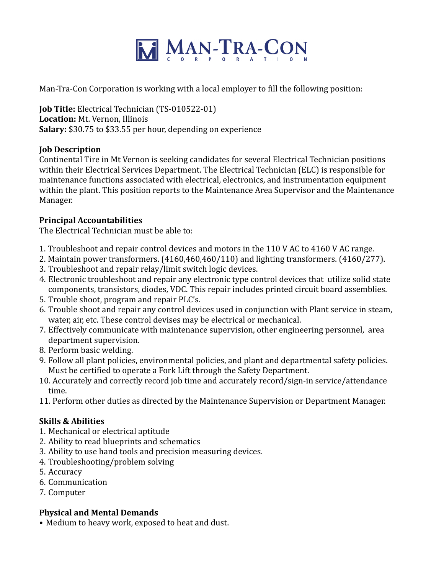

Man-Tra-Con Corporation is working with a local employer to fill the following position:

**Job Title:** Electrical Technician (TS-010522-01) Location: Mt. Vernon, Illinois **Salary:** \$30.75 to \$33.55 per hour, depending on experience

## **Job Description**

Continental Tire in Mt Vernon is seeking candidates for several Electrical Technician positions within their Electrical Services Department. The Electrical Technician (ELC) is responsible for maintenance functions associated with electrical, electronics, and instrumentation equipment within the plant. This position reports to the Maintenance Area Supervisor and the Maintenance Manager.

## **Principal Accountabilities**

The Electrical Technician must be able to:

- 1. Troubleshoot and repair control devices and motors in the 110 V AC to 4160 V AC range.
- 2. Maintain power transformers.  $(4160,460,460/110)$  and lighting transformers.  $(4160/277)$ .
- 3. Troubleshoot and repair relay/limit switch logic devices.
- 4. Electronic troubleshoot and repair any electronic type control devices that utilize solid state components, transistors, diodes, VDC. This repair includes printed circuit board assemblies.
- 5. Trouble shoot, program and repair PLC's.
- 6. Trouble shoot and repair any control devices used in conjunction with Plant service in steam, water, air, etc. These control devises may be electrical or mechanical.
- 7. Effectively communicate with maintenance supervision, other engineering personnel, area department supervision.
- 8. Perform basic welding.
- 9. Follow all plant policies, environmental policies, and plant and departmental safety policies. Must be certified to operate a Fork Lift through the Safety Department.
- 10. Accurately and correctly record job time and accurately record/sign-in service/attendance time.
- 11. Perform other duties as directed by the Maintenance Supervision or Department Manager.

## **Skills & Abilities**

- 1. Mechanical or electrical aptitude
- 2. Ability to read blueprints and schematics
- 3. Ability to use hand tools and precision measuring devices.
- 4. Troubleshooting/problem solving
- 5. Accuracy
- 6. Communication
- 7. Computer

## **Physical and Mental Demands**

• Medium to heavy work, exposed to heat and dust.